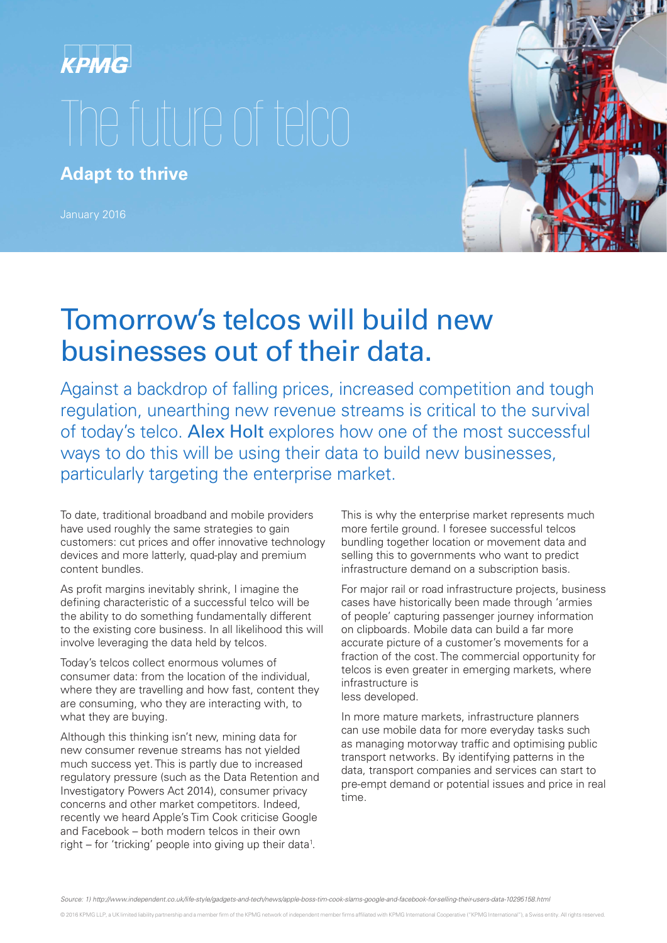

**Adapt to thrive**

January 2016



## Tomorrow's telcos will build new businesses out of their data.

Against a backdrop of falling prices, increased competition and tough regulation, unearthing new revenue streams is critical to the survival of today's telco. Alex Holt explores how one of the most successful ways to do this will be using their data to build new businesses, particularly targeting the enterprise market.

To date, traditional broadband and mobile providers have used roughly the same strategies to gain customers: cut prices and offer innovative technology devices and more latterly, quad-play and premium content bundles.

As profit margins inevitably shrink, I imagine the defining characteristic of a successful telco will be the ability to do something fundamentally different to the existing core business. In all likelihood this will involve leveraging the data held by telcos.

Today's telcos collect enormous volumes of consumer data: from the location of the individual, where they are travelling and how fast, content they are consuming, who they are interacting with, to what they are buying.

Although this thinking isn't new, mining data for new consumer revenue streams has not yielded much success yet. This is partly due to increased regulatory pressure (such as the Data Retention and Investigatory Powers Act 2014), consumer privacy concerns and other market competitors. Indeed, recently we heard Apple's Tim Cook criticise Google and Facebook – both modern telcos in their own right – for 'tricking' people into giving up their data<sup>1</sup>.

This is why the enterprise market represents much more fertile ground. I foresee successful telcos bundling together location or movement data and selling this to governments who want to predict infrastructure demand on a subscription basis.

For major rail or road infrastructure projects, business cases have historically been made through 'armies of people' capturing passenger journey information on clipboards. Mobile data can build a far more accurate picture of a customer's movements for a fraction of the cost. The commercial opportunity for telcos is even greater in emerging markets, where infrastructure is less developed.

In more mature markets, infrastructure planners can use mobile data for more everyday tasks such as managing motorway traffic and optimising public transport networks. By identifying patterns in the data, transport companies and services can start to pre-empt demand or potential issues and price in real time.

*Source: 1) http://www.independent.co.uk/life-style/gadgets-and-tech/news/apple-boss-tim-cook-slams-google-and-facebook-for-selling-their-users-data-10295158.html*

@ 2016 KPMG LLP, a UK limited liability partnership and a member firm of the KPMG network of independent member firms affiliated with KPMG International Cooperative ("KPMG International"), a Swiss entity. All rights reserv